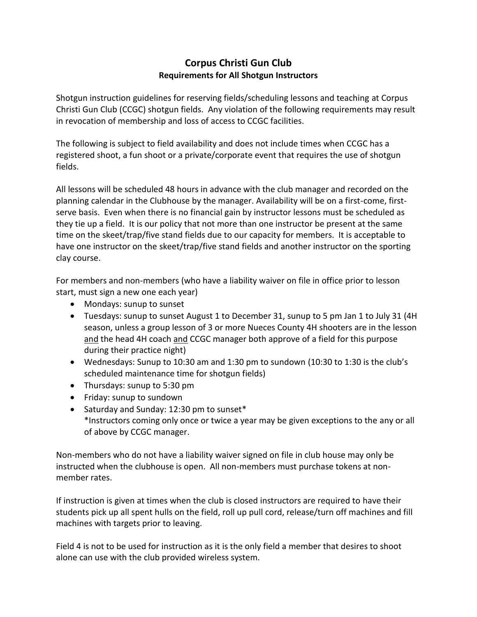## **Corpus Christi Gun Club Requirements for All Shotgun Instructors**

Shotgun instruction guidelines for reserving fields/scheduling lessons and teaching at Corpus Christi Gun Club (CCGC) shotgun fields. Any violation of the following requirements may result in revocation of membership and loss of access to CCGC facilities.

The following is subject to field availability and does not include times when CCGC has a registered shoot, a fun shoot or a private/corporate event that requires the use of shotgun fields.

All lessons will be scheduled 48 hours in advance with the club manager and recorded on the planning calendar in the Clubhouse by the manager. Availability will be on a first-come, firstserve basis. Even when there is no financial gain by instructor lessons must be scheduled as they tie up a field. It is our policy that not more than one instructor be present at the same time on the skeet/trap/five stand fields due to our capacity for members. It is acceptable to have one instructor on the skeet/trap/five stand fields and another instructor on the sporting clay course.

For members and non-members (who have a liability waiver on file in office prior to lesson start, must sign a new one each year)

- Mondays: sunup to sunset
- Tuesdays: sunup to sunset August 1 to December 31, sunup to 5 pm Jan 1 to July 31 (4H season, unless a group lesson of 3 or more Nueces County 4H shooters are in the lesson and the head 4H coach and CCGC manager both approve of a field for this purpose during their practice night)
- Wednesdays: Sunup to 10:30 am and 1:30 pm to sundown (10:30 to 1:30 is the club's scheduled maintenance time for shotgun fields)
- Thursdays: sunup to 5:30 pm
- Friday: sunup to sundown
- Saturday and Sunday: 12:30 pm to sunset\* \*Instructors coming only once or twice a year may be given exceptions to the any or all of above by CCGC manager.

Non-members who do not have a liability waiver signed on file in club house may only be instructed when the clubhouse is open. All non-members must purchase tokens at nonmember rates.

If instruction is given at times when the club is closed instructors are required to have their students pick up all spent hulls on the field, roll up pull cord, release/turn off machines and fill machines with targets prior to leaving.

Field 4 is not to be used for instruction as it is the only field a member that desires to shoot alone can use with the club provided wireless system.